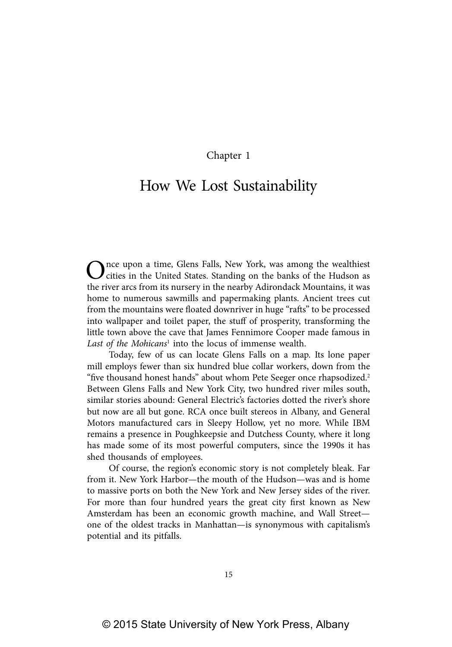## Chapter 1

# How We Lost Sustainability

The upon a time, Glens Falls, New York, was among the wealthiest I cities in the United States. Standing on the banks of the Hudson as the river arcs from its nursery in the nearby Adirondack Mountains, it was home to numerous sawmills and papermaking plants. Ancient trees cut from the mountains were floated downriver in huge "rafts" to be processed into wallpaper and toilet paper, the stuff of prosperity, transforming the little town above the cave that James Fennimore Cooper made famous in Last of the Mohicans<sup>1</sup> into the locus of immense wealth.

Today, few of us can locate Glens Falls on a map. Its lone paper mill employs fewer than six hundred blue collar workers, down from the "five thousand honest hands" about whom Pete Seeger once rhapsodized.2 Between Glens Falls and New York City, two hundred river miles south, similar stories abound: General Electric's factories dotted the river's shore but now are all but gone. RCA once built stereos in Albany, and General Motors manufactured cars in Sleepy Hollow, yet no more. While IBM remains a presence in Poughkeepsie and Dutchess County, where it long has made some of its most powerful computers, since the 1990s it has shed thousands of employees.

Of course, the region's economic story is not completely bleak. Far from it. New York Harbor—the mouth of the Hudson—was and is home to massive ports on both the New York and New Jersey sides of the river. For more than four hundred years the great city first known as New Amsterdam has been an economic growth machine, and Wall Street one of the oldest tracks in Manhattan—is synonymous with capitalism's potential and its pitfalls.

15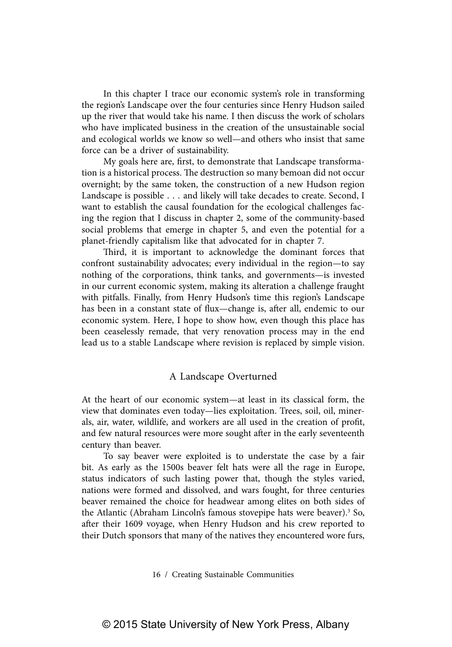In this chapter I trace our economic system's role in transforming the region's Landscape over the four centuries since Henry Hudson sailed up the river that would take his name. I then discuss the work of scholars who have implicated business in the creation of the unsustainable social and ecological worlds we know so well—and others who insist that same force can be a driver of sustainability.

My goals here are, first, to demonstrate that Landscape transformation is a historical process. The destruction so many bemoan did not occur overnight; by the same token, the construction of a new Hudson region Landscape is possible . . . and likely will take decades to create. Second, I want to establish the causal foundation for the ecological challenges facing the region that I discuss in chapter 2, some of the community-based social problems that emerge in chapter 5, and even the potential for a planet‑friendly capitalism like that advocated for in chapter 7.

Third, it is important to acknowledge the dominant forces that confront sustainability advocates; every individual in the region—to say nothing of the corporations, think tanks, and governments—is invested in our current economic system, making its alteration a challenge fraught with pitfalls. Finally, from Henry Hudson's time this region's Landscape has been in a constant state of flux—change is, after all, endemic to our economic system. Here, I hope to show how, even though this place has been ceaselessly remade, that very renovation process may in the end lead us to a stable Landscape where revision is replaced by simple vision.

## A Landscape Overturned

At the heart of our economic system—at least in its classical form, the view that dominates even today—lies exploitation. Trees, soil, oil, minerals, air, water, wildlife, and workers are all used in the creation of profit, and few natural resources were more sought after in the early seventeenth century than beaver.

To say beaver were exploited is to understate the case by a fair bit. As early as the 1500s beaver felt hats were all the rage in Europe, status indicators of such lasting power that, though the styles varied, nations were formed and dissolved, and wars fought, for three centuries beaver remained the choice for headwear among elites on both sides of the Atlantic (Abraham Lincoln's famous stovepipe hats were beaver).<sup>3</sup> So, after their 1609 voyage, when Henry Hudson and his crew reported to their Dutch sponsors that many of the natives they encountered wore furs,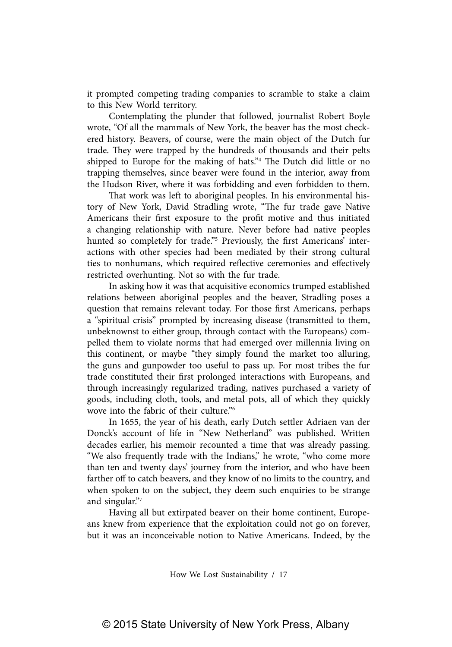it prompted competing trading companies to scramble to stake a claim to this New World territory.

Contemplating the plunder that followed, journalist Robert Boyle wrote, "Of all the mammals of New York, the beaver has the most checkered history. Beavers, of course, were the main object of the Dutch fur trade. They were trapped by the hundreds of thousands and their pelts shipped to Europe for the making of hats."4 The Dutch did little or no trapping themselves, since beaver were found in the interior, away from the Hudson River, where it was forbidding and even forbidden to them.

That work was left to aboriginal peoples. In his environmental history of New York, David Stradling wrote, "The fur trade gave Native Americans their first exposure to the profit motive and thus initiated a changing relationship with nature. Never before had native peoples hunted so completely for trade."<sup>5</sup> Previously, the first Americans' interactions with other species had been mediated by their strong cultural ties to nonhumans, which required reflective ceremonies and effectively restricted overhunting. Not so with the fur trade.

In asking how it was that acquisitive economics trumped established relations between aboriginal peoples and the beaver, Stradling poses a question that remains relevant today. For those first Americans, perhaps a "spiritual crisis" prompted by increasing disease (transmitted to them, unbeknownst to either group, through contact with the Europeans) compelled them to violate norms that had emerged over millennia living on this continent, or maybe "they simply found the market too alluring, the guns and gunpowder too useful to pass up. For most tribes the fur trade constituted their first prolonged interactions with Europeans, and through increasingly regularized trading, natives purchased a variety of goods, including cloth, tools, and metal pots, all of which they quickly wove into the fabric of their culture."6

In 1655, the year of his death, early Dutch settler Adriaen van der Donck's account of life in "New Netherland" was published. Written decades earlier, his memoir recounted a time that was already passing. "We also frequently trade with the Indians," he wrote, "who come more than ten and twenty days' journey from the interior, and who have been farther off to catch beavers, and they know of no limits to the country, and when spoken to on the subject, they deem such enquiries to be strange and singular."7

Having all but extirpated beaver on their home continent, Europeans knew from experience that the exploitation could not go on forever, but it was an inconceivable notion to Native Americans. Indeed, by the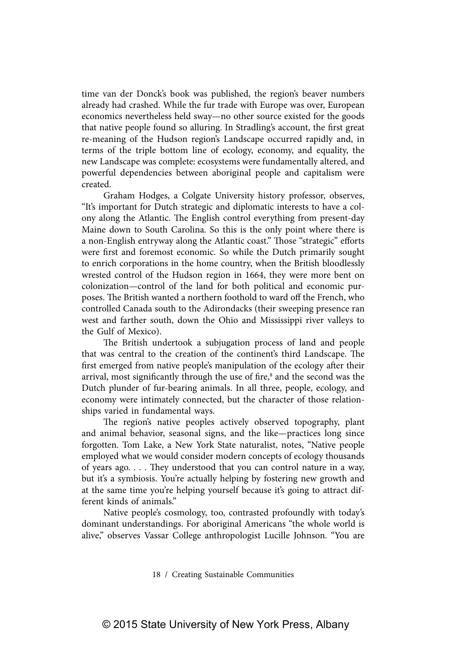time van der Donck's book was published, the region's beaver numbers already had crashed. While the fur trade with Europe was over, European economics nevertheless held sway—no other source existed for the goods that native people found so alluring. In Stradling's account, the first great re‑meaning of the Hudson region's Landscape occurred rapidly and, in terms of the triple bottom line of ecology, economy, and equality, the new Landscape was complete: ecosystems were fundamentally altered, and powerful dependencies between aboriginal people and capitalism were created.

Graham Hodges, a Colgate University history professor, observes, "It's important for Dutch strategic and diplomatic interests to have a col‑ ony along the Atlantic. The English control everything from present‑day Maine down to South Carolina. So this is the only point where there is a non‑English entryway along the Atlantic coast." Those "strategic" efforts were first and foremost economic. So while the Dutch primarily sought to enrich corporations in the home country, when the British bloodlessly wrested control of the Hudson region in 1664, they were more bent on colonization—control of the land for both political and economic purposes. The British wanted a northern foothold to ward off the French, who controlled Canada south to the Adirondacks (their sweeping presence ran west and farther south, down the Ohio and Mississippi river valleys to the Gulf of Mexico).

The British undertook a subjugation process of land and people that was central to the creation of the continent's third Landscape. The first emerged from native people's manipulation of the ecology after their arrival, most significantly through the use of fire,<sup>8</sup> and the second was the Dutch plunder of fur-bearing animals. In all three, people, ecology, and economy were intimately connected, but the character of those relationships varied in fundamental ways.

The region's native peoples actively observed topography, plant and animal behavior, seasonal signs, and the like—practices long since forgotten. Tom Lake, a New York State naturalist, notes, "Native people employed what we would consider modern concepts of ecology thousands of years ago. . . . They understood that you can control nature in a way, but it's a symbiosis. You're actually helping by fostering new growth and at the same time you're helping yourself because it's going to attract different kinds of animals."

Native people's cosmology, too, contrasted profoundly with today's dominant understandings. For aboriginal Americans "the whole world is alive," observes Vassar College anthropologist Lucille Johnson. "You are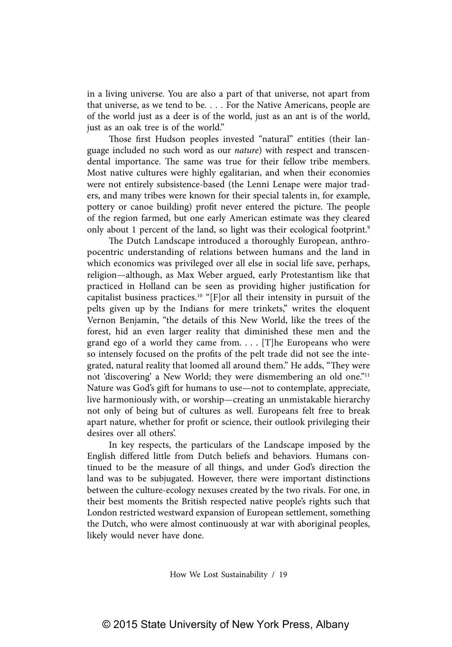in a living universe. You are also a part of that universe, not apart from that universe, as we tend to be. . . . For the Native Americans, people are of the world just as a deer is of the world, just as an ant is of the world, just as an oak tree is of the world."

Those first Hudson peoples invested "natural" entities (their language included no such word as our *nature*) with respect and transcendental importance. The same was true for their fellow tribe members. Most native cultures were highly egalitarian, and when their economies were not entirely subsistence-based (the Lenni Lenape were major traders, and many tribes were known for their special talents in, for example, pottery or canoe building) profit never entered the picture. The people of the region farmed, but one early American estimate was they cleared only about 1 percent of the land, so light was their ecological footprint.<sup>9</sup>

The Dutch Landscape introduced a thoroughly European, anthropocentric understanding of relations between humans and the land in which economics was privileged over all else in social life save, perhaps, religion—although, as Max Weber argued, early Protestantism like that practiced in Holland can be seen as providing higher justification for capitalist business practices.10 "[F]or all their intensity in pursuit of the pelts given up by the Indians for mere trinkets," writes the eloquent Vernon Benjamin, "the details of this New World, like the trees of the forest, hid an even larger reality that diminished these men and the grand ego of a world they came from. . . . [T]he Europeans who were so intensely focused on the profits of the pelt trade did not see the integrated, natural reality that loomed all around them." He adds, "They were not 'discovering' a New World; they were dismembering an old one."<sup>11</sup> Nature was God's gift for humans to use—not to contemplate, appreciate, live harmoniously with, or worship—creating an unmistakable hierarchy not only of being but of cultures as well. Europeans felt free to break apart nature, whether for profit or science, their outlook privileging their desires over all others'.

In key respects, the particulars of the Landscape imposed by the English differed little from Dutch beliefs and behaviors. Humans continued to be the measure of all things, and under God's direction the land was to be subjugated. However, there were important distinctions between the culture‑ecology nexuses created by the two rivals. For one, in their best moments the British respected native people's rights such that London restricted westward expansion of European settlement, something the Dutch, who were almost continuously at war with aboriginal peoples, likely would never have done.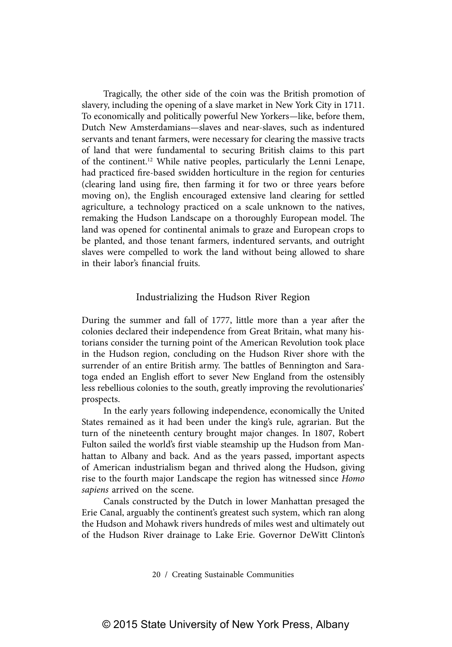Tragically, the other side of the coin was the British promotion of slavery, including the opening of a slave market in New York City in 1711. To economically and politically powerful New Yorkers—like, before them, Dutch New Amsterdamians—slaves and near‑slaves, such as indentured servants and tenant farmers, were necessary for clearing the massive tracts of land that were fundamental to securing British claims to this part of the continent.12 While native peoples, particularly the Lenni Lenape, had practiced fire-based swidden horticulture in the region for centuries (clearing land using fire, then farming it for two or three years before moving on), the English encouraged extensive land clearing for settled agriculture, a technology practiced on a scale unknown to the natives, remaking the Hudson Landscape on a thoroughly European model. The land was opened for continental animals to graze and European crops to be planted, and those tenant farmers, indentured servants, and outright slaves were compelled to work the land without being allowed to share in their labor's financial fruits.

#### Industrializing the Hudson River Region

During the summer and fall of 1777, little more than a year after the colonies declared their independence from Great Britain, what many historians consider the turning point of the American Revolution took place in the Hudson region, concluding on the Hudson River shore with the surrender of an entire British army. The battles of Bennington and Saratoga ended an English effort to sever New England from the ostensibly less rebellious colonies to the south, greatly improving the revolutionaries' prospects.

In the early years following independence, economically the United States remained as it had been under the king's rule, agrarian. But the turn of the nineteenth century brought major changes. In 1807, Robert Fulton sailed the world's first viable steamship up the Hudson from Manhattan to Albany and back. And as the years passed, important aspects of American industrialism began and thrived along the Hudson, giving rise to the fourth major Landscape the region has witnessed since *Homo sapiens* arrived on the scene.

Canals constructed by the Dutch in lower Manhattan presaged the Erie Canal, arguably the continent's greatest such system, which ran along the Hudson and Mohawk rivers hundreds of miles west and ultimately out of the Hudson River drainage to Lake Erie. Governor DeWitt Clinton's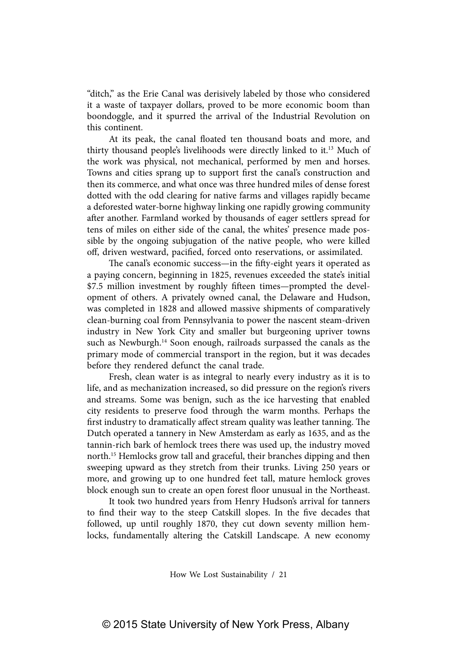"ditch," as the Erie Canal was derisively labeled by those who considered it a waste of taxpayer dollars, proved to be more economic boom than boondoggle, and it spurred the arrival of the Industrial Revolution on this continent.

At its peak, the canal floated ten thousand boats and more, and thirty thousand people's livelihoods were directly linked to it.13 Much of the work was physical, not mechanical, performed by men and horses. Towns and cities sprang up to support first the canal's construction and then its commerce, and what once was three hundred miles of dense forest dotted with the odd clearing for native farms and villages rapidly became a deforested water-borne highway linking one rapidly growing community after another. Farmland worked by thousands of eager settlers spread for tens of miles on either side of the canal, the whites' presence made possible by the ongoing subjugation of the native people, who were killed off, driven westward, pacified, forced onto reservations, or assimilated.

The canal's economic success—in the fifty-eight years it operated as a paying concern, beginning in 1825, revenues exceeded the state's initial \$7.5 million investment by roughly fifteen times—prompted the development of others. A privately owned canal, the Delaware and Hudson, was completed in 1828 and allowed massive shipments of comparatively clean-burning coal from Pennsylvania to power the nascent steam-driven industry in New York City and smaller but burgeoning upriver towns such as Newburgh.<sup>14</sup> Soon enough, railroads surpassed the canals as the primary mode of commercial transport in the region, but it was decades before they rendered defunct the canal trade.

Fresh, clean water is as integral to nearly every industry as it is to life, and as mechanization increased, so did pressure on the region's rivers and streams. Some was benign, such as the ice harvesting that enabled city residents to preserve food through the warm months. Perhaps the first industry to dramatically affect stream quality was leather tanning. The Dutch operated a tannery in New Amsterdam as early as 1635, and as the tannin-rich bark of hemlock trees there was used up, the industry moved north.15 Hemlocks grow tall and graceful, their branches dipping and then sweeping upward as they stretch from their trunks. Living 250 years or more, and growing up to one hundred feet tall, mature hemlock groves block enough sun to create an open forest floor unusual in the Northeast.

It took two hundred years from Henry Hudson's arrival for tanners to find their way to the steep Catskill slopes. In the five decades that followed, up until roughly 1870, they cut down seventy million hemlocks, fundamentally altering the Catskill Landscape. A new economy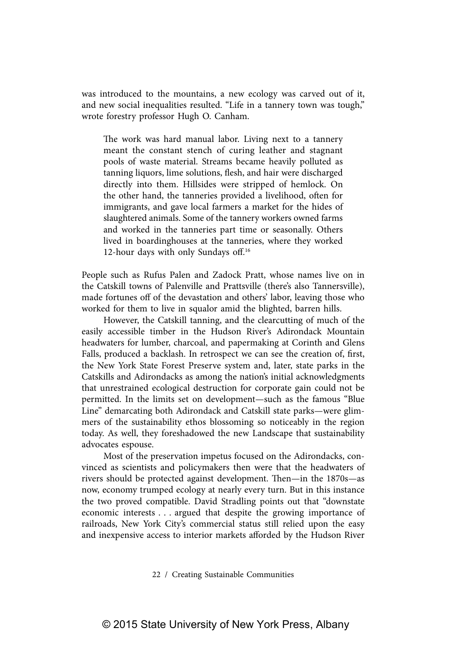was introduced to the mountains, a new ecology was carved out of it, and new social inequalities resulted. "Life in a tannery town was tough," wrote forestry professor Hugh O. Canham.

The work was hard manual labor. Living next to a tannery meant the constant stench of curing leather and stagnant pools of waste material. Streams became heavily polluted as tanning liquors, lime solutions, flesh, and hair were discharged directly into them. Hillsides were stripped of hemlock. On the other hand, the tanneries provided a livelihood, often for immigrants, and gave local farmers a market for the hides of slaughtered animals. Some of the tannery workers owned farms and worked in the tanneries part time or seasonally. Others lived in boardinghouses at the tanneries, where they worked 12-hour days with only Sundays off.<sup>16</sup>

People such as Rufus Palen and Zadock Pratt, whose names live on in the Catskill towns of Palenville and Prattsville (there's also Tannersville), made fortunes off of the devastation and others' labor, leaving those who worked for them to live in squalor amid the blighted, barren hills.

However, the Catskill tanning, and the clearcutting of much of the easily accessible timber in the Hudson River's Adirondack Mountain headwaters for lumber, charcoal, and papermaking at Corinth and Glens Falls, produced a backlash. In retrospect we can see the creation of, first, the New York State Forest Preserve system and, later, state parks in the Catskills and Adirondacks as among the nation's initial acknowledgments that unrestrained ecological destruction for corporate gain could not be permitted. In the limits set on development—such as the famous "Blue Line" demarcating both Adirondack and Catskill state parks—were glimmers of the sustainability ethos blossoming so noticeably in the region today. As well, they foreshadowed the new Landscape that sustainability advocates espouse.

Most of the preservation impetus focused on the Adirondacks, convinced as scientists and policymakers then were that the headwaters of rivers should be protected against development. Then—in the 1870s—as now, economy trumped ecology at nearly every turn. But in this instance the two proved compatible. David Stradling points out that "downstate economic interests . . . argued that despite the growing importance of railroads, New York City's commercial status still relied upon the easy and inexpensive access to interior markets afforded by the Hudson River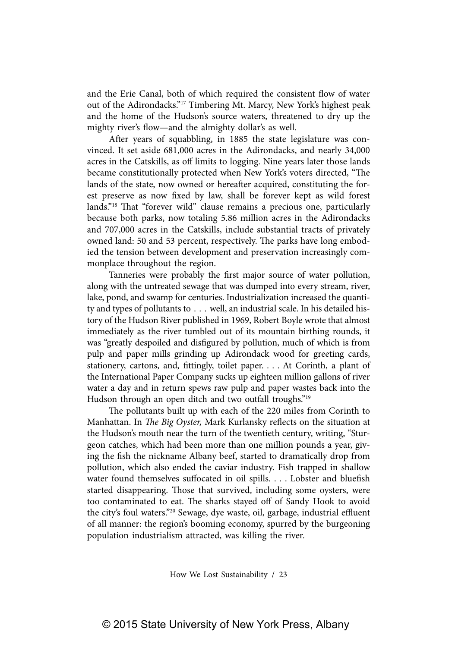and the Erie Canal, both of which required the consistent flow of water out of the Adirondacks."17 Timbering Mt. Marcy, New York's highest peak and the home of the Hudson's source waters, threatened to dry up the mighty river's flow—and the almighty dollar's as well.

After years of squabbling, in 1885 the state legislature was convinced. It set aside 681,000 acres in the Adirondacks, and nearly 34,000 acres in the Catskills, as off limits to logging. Nine years later those lands became constitutionally protected when New York's voters directed, "The lands of the state, now owned or hereafter acquired, constituting the forest preserve as now fixed by law, shall be forever kept as wild forest lands."18 That "forever wild" clause remains a precious one, particularly because both parks, now totaling 5.86 million acres in the Adirondacks and 707,000 acres in the Catskills, include substantial tracts of privately owned land: 50 and 53 percent, respectively. The parks have long embodied the tension between development and preservation increasingly commonplace throughout the region.

Tanneries were probably the first major source of water pollution, along with the untreated sewage that was dumped into every stream, river, lake, pond, and swamp for centuries. Industrialization increased the quantity and types of pollutants to . . . well, an industrial scale. In his detailed his‑ tory of the Hudson River published in 1969, Robert Boyle wrote that almost immediately as the river tumbled out of its mountain birthing rounds, it was "greatly despoiled and disfigured by pollution, much of which is from pulp and paper mills grinding up Adirondack wood for greeting cards, stationery, cartons, and, fittingly, toilet paper. . . . At Corinth, a plant of the International Paper Company sucks up eighteen million gallons of river water a day and in return spews raw pulp and paper wastes back into the Hudson through an open ditch and two outfall troughs."<sup>19</sup>

The pollutants built up with each of the 220 miles from Corinth to Manhattan. In *The Big Oyster,* Mark Kurlansky reflects on the situation at the Hudson's mouth near the turn of the twentieth century, writing, "Sturgeon catches, which had been more than one million pounds a year, giving the fish the nickname Albany beef, started to dramatically drop from pollution, which also ended the caviar industry. Fish trapped in shallow water found themselves suffocated in oil spills. . . . Lobster and bluefish started disappearing. Those that survived, including some oysters, were too contaminated to eat. The sharks stayed off of Sandy Hook to avoid the city's foul waters."<sup>20</sup> Sewage, dye waste, oil, garbage, industrial effluent of all manner: the region's booming economy, spurred by the burgeoning population industrialism attracted, was killing the river.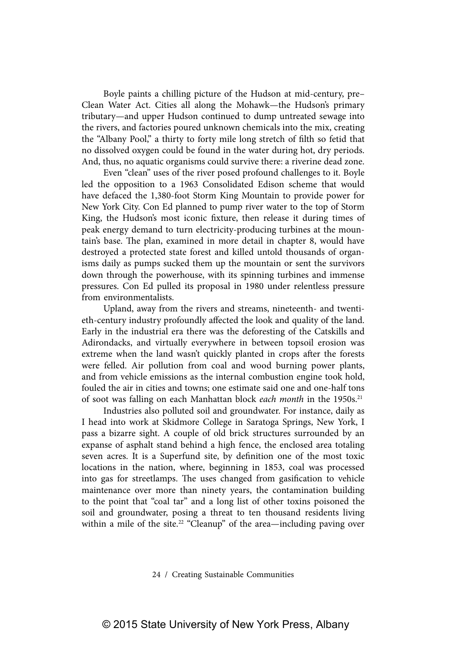Boyle paints a chilling picture of the Hudson at mid‑century, pre– Clean Water Act. Cities all along the Mohawk—the Hudson's primary tributary—and upper Hudson continued to dump untreated sewage into the rivers, and factories poured unknown chemicals into the mix, creating the "Albany Pool," a thirty to forty mile long stretch of filth so fetid that no dissolved oxygen could be found in the water during hot, dry periods. And, thus, no aquatic organisms could survive there: a riverine dead zone.

Even "clean" uses of the river posed profound challenges to it. Boyle led the opposition to a 1963 Consolidated Edison scheme that would have defaced the 1,380‑foot Storm King Mountain to provide power for New York City. Con Ed planned to pump river water to the top of Storm King, the Hudson's most iconic fixture, then release it during times of peak energy demand to turn electricity-producing turbines at the mountain's base. The plan, examined in more detail in chapter 8, would have destroyed a protected state forest and killed untold thousands of organisms daily as pumps sucked them up the mountain or sent the survivors down through the powerhouse, with its spinning turbines and immense pressures. Con Ed pulled its proposal in 1980 under relentless pressure from environmentalists.

Upland, away from the rivers and streams, nineteenth- and twentieth-century industry profoundly affected the look and quality of the land. Early in the industrial era there was the deforesting of the Catskills and Adirondacks, and virtually everywhere in between topsoil erosion was extreme when the land wasn't quickly planted in crops after the forests were felled. Air pollution from coal and wood burning power plants, and from vehicle emissions as the internal combustion engine took hold, fouled the air in cities and towns; one estimate said one and one‑half tons of soot was falling on each Manhattan block *each month* in the 1950s.<sup>21</sup>

Industries also polluted soil and groundwater. For instance, daily as I head into work at Skidmore College in Saratoga Springs, New York, I pass a bizarre sight. A couple of old brick structures surrounded by an expanse of asphalt stand behind a high fence, the enclosed area totaling seven acres. It is a Superfund site, by definition one of the most toxic locations in the nation, where, beginning in 1853, coal was processed into gas for streetlamps. The uses changed from gasification to vehicle maintenance over more than ninety years, the contamination building to the point that "coal tar" and a long list of other toxins poisoned the soil and groundwater, posing a threat to ten thousand residents living within a mile of the site.<sup>22</sup> "Cleanup" of the area—including paving over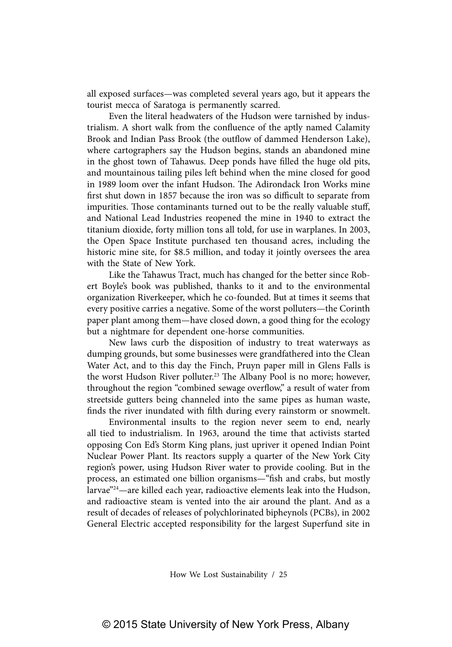all exposed surfaces—was completed several years ago, but it appears the tourist mecca of Saratoga is permanently scarred.

Even the literal headwaters of the Hudson were tarnished by industrialism. A short walk from the confluence of the aptly named Calamity Brook and Indian Pass Brook (the outflow of dammed Henderson Lake), where cartographers say the Hudson begins, stands an abandoned mine in the ghost town of Tahawus. Deep ponds have filled the huge old pits, and mountainous tailing piles left behind when the mine closed for good in 1989 loom over the infant Hudson. The Adirondack Iron Works mine first shut down in 1857 because the iron was so difficult to separate from impurities. Those contaminants turned out to be the really valuable stuff, and National Lead Industries reopened the mine in 1940 to extract the titanium dioxide, forty million tons all told, for use in warplanes. In 2003, the Open Space Institute purchased ten thousand acres, including the historic mine site, for \$8.5 million, and today it jointly oversees the area with the State of New York.

Like the Tahawus Tract, much has changed for the better since Robert Boyle's book was published, thanks to it and to the environmental organization Riverkeeper, which he co‑founded. But at times it seems that every positive carries a negative. Some of the worst polluters—the Corinth paper plant among them—have closed down, a good thing for the ecology but a nightmare for dependent one‑horse communities.

New laws curb the disposition of industry to treat waterways as dumping grounds, but some businesses were grandfathered into the Clean Water Act, and to this day the Finch, Pruyn paper mill in Glens Falls is the worst Hudson River polluter.<sup>23</sup> The Albany Pool is no more; however, throughout the region "combined sewage overflow," a result of water from streetside gutters being channeled into the same pipes as human waste, finds the river inundated with filth during every rainstorm or snowmelt.

Environmental insults to the region never seem to end, nearly all tied to industrialism. In 1963, around the time that activists started opposing Con Ed's Storm King plans, just upriver it opened Indian Point Nuclear Power Plant. Its reactors supply a quarter of the New York City region's power, using Hudson River water to provide cooling. But in the process, an estimated one billion organisms—"fish and crabs, but mostly larvae<sup>"24</sup>—are killed each year, radioactive elements leak into the Hudson, and radioactive steam is vented into the air around the plant. And as a result of decades of releases of polychlorinated bipheynols (PCBs), in 2002 General Electric accepted responsibility for the largest Superfund site in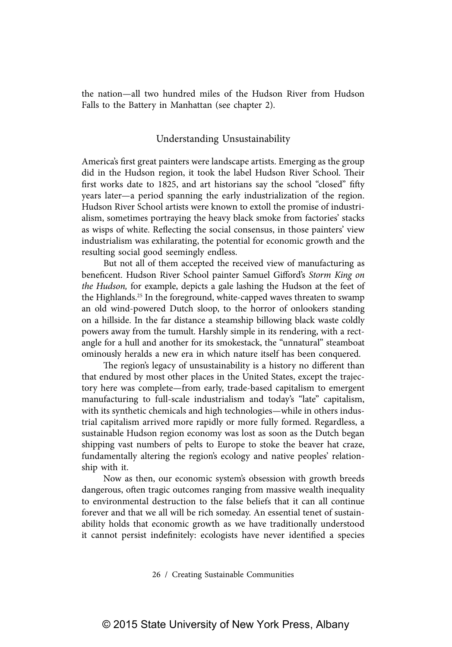the nation—all two hundred miles of the Hudson River from Hudson Falls to the Battery in Manhattan (see chapter 2).

## Understanding Unsustainability

America's first great painters were landscape artists. Emerging as the group did in the Hudson region, it took the label Hudson River School. Their first works date to 1825, and art historians say the school "closed" fifty years later—a period spanning the early industrialization of the region. Hudson River School artists were known to extoll the promise of industrialism, sometimes portraying the heavy black smoke from factories' stacks as wisps of white. Reflecting the social consensus, in those painters' view industrialism was exhilarating, the potential for economic growth and the resulting social good seemingly endless.

But not all of them accepted the received view of manufacturing as beneficent. Hudson River School painter Samuel Gifford's *Storm King on the Hudson,* for example, depicts a gale lashing the Hudson at the feet of the Highlands.<sup>25</sup> In the foreground, white-capped waves threaten to swamp an old wind‑powered Dutch sloop, to the horror of onlookers standing on a hillside. In the far distance a steamship billowing black waste coldly powers away from the tumult. Harshly simple in its rendering, with a rectangle for a hull and another for its smokestack, the "unnatural" steamboat ominously heralds a new era in which nature itself has been conquered.

The region's legacy of unsustainability is a history no different than that endured by most other places in the United States, except the trajectory here was complete—from early, trade‑based capitalism to emergent manufacturing to full-scale industrialism and today's "late" capitalism, with its synthetic chemicals and high technologies—while in others industrial capitalism arrived more rapidly or more fully formed. Regardless, a sustainable Hudson region economy was lost as soon as the Dutch began shipping vast numbers of pelts to Europe to stoke the beaver hat craze, fundamentally altering the region's ecology and native peoples' relationship with it.

Now as then, our economic system's obsession with growth breeds dangerous, often tragic outcomes ranging from massive wealth inequality to environmental destruction to the false beliefs that it can all continue forever and that we all will be rich someday. An essential tenet of sustainability holds that economic growth as we have traditionally understood it cannot persist indefinitely: ecologists have never identified a species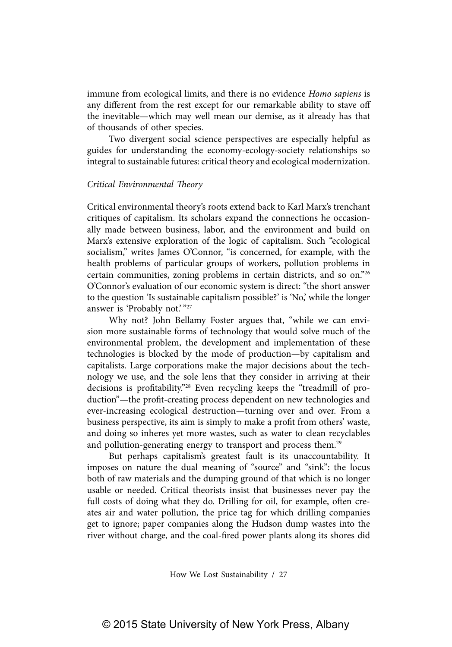immune from ecological limits, and there is no evidence *Homo sapiens* is any different from the rest except for our remarkable ability to stave off the inevitable—which may well mean our demise, as it already has that of thousands of other species.

Two divergent social science perspectives are especially helpful as guides for understanding the economy‑ecology‑society relationships so integral to sustainable futures: critical theory and ecological modernization.

#### *Critical Environmental Theory*

Critical environmental theory's roots extend back to Karl Marx's trenchant critiques of capitalism. Its scholars expand the connections he occasionally made between business, labor, and the environment and build on Marx's extensive exploration of the logic of capitalism. Such "ecological socialism," writes James O'Connor, "is concerned, for example, with the health problems of particular groups of workers, pollution problems in certain communities, zoning problems in certain districts, and so on."26 O'Connor's evaluation of our economic system is direct: "the short answer to the question 'Is sustainable capitalism possible?' is 'No,' while the longer answer is 'Probably not.' "27

Why not? John Bellamy Foster argues that, "while we can envision more sustainable forms of technology that would solve much of the environmental problem, the development and implementation of these technologies is blocked by the mode of production—by capitalism and capitalists. Large corporations make the major decisions about the technology we use, and the sole lens that they consider in arriving at their decisions is profitability."<sup>28</sup> Even recycling keeps the "treadmill of production"—the profit-creating process dependent on new technologies and ever-increasing ecological destruction—turning over and over. From a business perspective, its aim is simply to make a profit from others' waste, and doing so inheres yet more wastes, such as water to clean recyclables and pollution-generating energy to transport and process them.<sup>29</sup>

But perhaps capitalism's greatest fault is its unaccountability. It imposes on nature the dual meaning of "source" and "sink": the locus both of raw materials and the dumping ground of that which is no longer usable or needed. Critical theorists insist that businesses never pay the full costs of doing what they do. Drilling for oil, for example, often creates air and water pollution, the price tag for which drilling companies get to ignore; paper companies along the Hudson dump wastes into the river without charge, and the coal-fired power plants along its shores did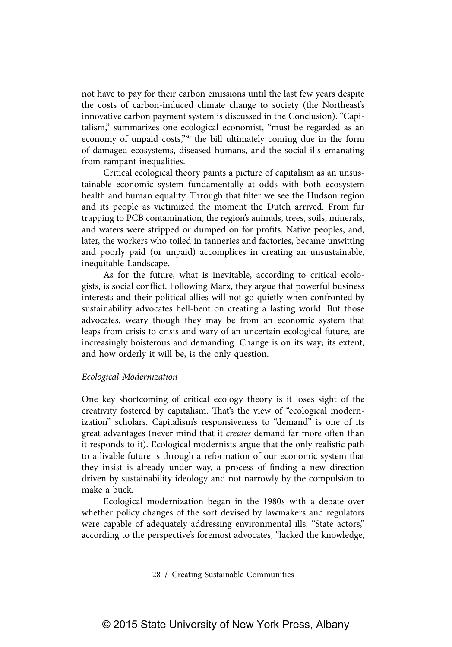not have to pay for their carbon emissions until the last few years despite the costs of carbon-induced climate change to society (the Northeast's innovative carbon payment system is discussed in the Conclusion). "Capitalism," summarizes one ecological economist, "must be regarded as an economy of unpaid costs,"30 the bill ultimately coming due in the form of damaged ecosystems, diseased humans, and the social ills emanating from rampant inequalities.

Critical ecological theory paints a picture of capitalism as an unsustainable economic system fundamentally at odds with both ecosystem health and human equality. Through that filter we see the Hudson region and its people as victimized the moment the Dutch arrived. From fur trapping to PCB contamination, the region's animals, trees, soils, minerals, and waters were stripped or dumped on for profits. Native peoples, and, later, the workers who toiled in tanneries and factories, became unwitting and poorly paid (or unpaid) accomplices in creating an unsustainable, inequitable Landscape.

As for the future, what is inevitable, according to critical ecologists, is social conflict. Following Marx, they argue that powerful business interests and their political allies will not go quietly when confronted by sustainability advocates hell-bent on creating a lasting world. But those advocates, weary though they may be from an economic system that leaps from crisis to crisis and wary of an uncertain ecological future, are increasingly boisterous and demanding. Change is on its way; its extent, and how orderly it will be, is the only question.

#### *Ecological Modernization*

One key shortcoming of critical ecology theory is it loses sight of the creativity fostered by capitalism. That's the view of "ecological modernization" scholars. Capitalism's responsiveness to "demand" is one of its great advantages (never mind that it *creates* demand far more often than it responds to it). Ecological modernists argue that the only realistic path to a livable future is through a reformation of our economic system that they insist is already under way, a process of finding a new direction driven by sustainability ideology and not narrowly by the compulsion to make a buck.

Ecological modernization began in the 1980s with a debate over whether policy changes of the sort devised by lawmakers and regulators were capable of adequately addressing environmental ills. "State actors," according to the perspective's foremost advocates, "lacked the knowledge,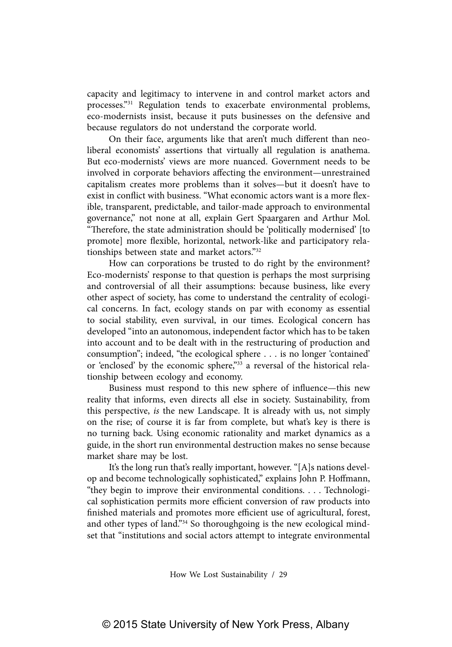capacity and legitimacy to intervene in and control market actors and processes."31 Regulation tends to exacerbate environmental problems, eco‑modernists insist, because it puts businesses on the defensive and because regulators do not understand the corporate world.

On their face, arguments like that aren't much different than neoliberal economists' assertions that virtually all regulation is anathema. But eco-modernists' views are more nuanced. Government needs to be involved in corporate behaviors affecting the environment—unrestrained capitalism creates more problems than it solves—but it doesn't have to exist in conflict with business. "What economic actors want is a more flexible, transparent, predictable, and tailor-made approach to environmental governance," not none at all, explain Gert Spaargaren and Arthur Mol. "Therefore, the state administration should be 'politically modernised' [to promote] more flexible, horizontal, network-like and participatory relationships between state and market actors."32

How can corporations be trusted to do right by the environment? Eco-modernists' response to that question is perhaps the most surprising and controversial of all their assumptions: because business, like every other aspect of society, has come to understand the centrality of ecological concerns. In fact, ecology stands on par with economy as essential to social stability, even survival, in our times. Ecological concern has developed "into an autonomous, independent factor which has to be taken into account and to be dealt with in the restructuring of production and consumption"; indeed, "the ecological sphere . . . is no longer 'contained' or 'enclosed' by the economic sphere,"<sup>33</sup> a reversal of the historical relationship between ecology and economy.

Business must respond to this new sphere of influence—this new reality that informs, even directs all else in society. Sustainability, from this perspective, *is* the new Landscape. It is already with us, not simply on the rise; of course it is far from complete, but what's key is there is no turning back. Using economic rationality and market dynamics as a guide, in the short run environmental destruction makes no sense because market share may be lost.

It's the long run that's really important, however. "[A]s nations develop and become technologically sophisticated," explains John P. Hoffmann, "they begin to improve their environmental conditions. . . . Technologi‑ cal sophistication permits more efficient conversion of raw products into finished materials and promotes more efficient use of agricultural, forest, and other types of land."<sup>34</sup> So thoroughgoing is the new ecological mindset that "institutions and social actors attempt to integrate environmental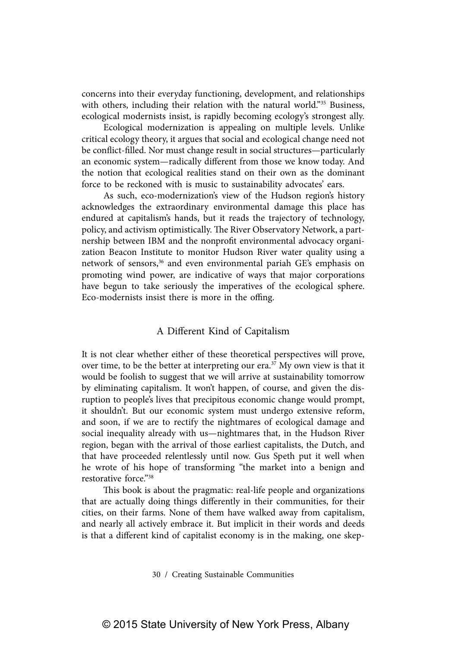concerns into their everyday functioning, development, and relationships with others, including their relation with the natural world."<sup>35</sup> Business, ecological modernists insist, is rapidly becoming ecology's strongest ally.

Ecological modernization is appealing on multiple levels. Unlike critical ecology theory, it argues that social and ecological change need not be conflict-filled. Nor must change result in social structures—particularly an economic system—radically different from those we know today. And the notion that ecological realities stand on their own as the dominant force to be reckoned with is music to sustainability advocates' ears.

As such, eco‑modernization's view of the Hudson region's history acknowledges the extraordinary environmental damage this place has endured at capitalism's hands, but it reads the trajectory of technology, policy, and activism optimistically. The River Observatory Network, a partnership between IBM and the nonprofit environmental advocacy organization Beacon Institute to monitor Hudson River water quality using a network of sensors,<sup>36</sup> and even environmental pariah GE's emphasis on promoting wind power, are indicative of ways that major corporations have begun to take seriously the imperatives of the ecological sphere. Eco‑modernists insist there is more in the offing.

## A Different Kind of Capitalism

It is not clear whether either of these theoretical perspectives will prove, over time, to be the better at interpreting our era.<sup>37</sup> My own view is that it would be foolish to suggest that we will arrive at sustainability tomorrow by eliminating capitalism. It won't happen, of course, and given the disruption to people's lives that precipitous economic change would prompt, it shouldn't. But our economic system must undergo extensive reform, and soon, if we are to rectify the nightmares of ecological damage and social inequality already with us—nightmares that, in the Hudson River region, began with the arrival of those earliest capitalists, the Dutch, and that have proceeded relentlessly until now. Gus Speth put it well when he wrote of his hope of transforming "the market into a benign and restorative force."38

This book is about the pragmatic: real-life people and organizations that are actually doing things differently in their communities, for their cities, on their farms. None of them have walked away from capitalism, and nearly all actively embrace it. But implicit in their words and deeds is that a different kind of capitalist economy is in the making, one skep-